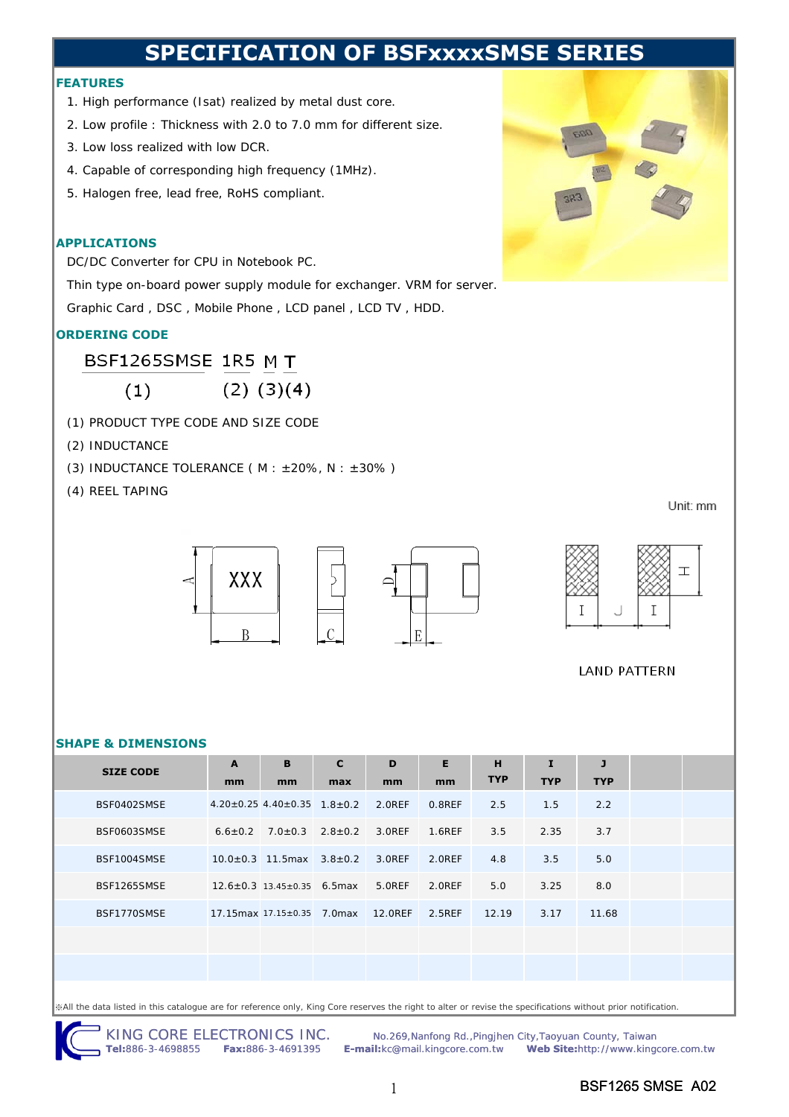## **SPECIFICATION OF BSFxxxxSMSE SERI**

#### **FEATURES**

- 1. High performance (Isat) realized by metal dust core.
- 2. Low profile : Thickness with 2.0 to 7.0 mm for different size.
- 3. Low loss realized with low DCR.
- 4. Capable of corresponding high frequency (1MHz).
- 5. Halogen free, lead free, RoHS compliant.

#### **APPLICATIONS**

DC/DC Converter for CPU in Notebook PC.

Thin type on-board power supply module for exchanger. VRM for server.

Graphic Card , DSC , Mobile Phone , LCD panel , LCD TV , HDD.

### **ORDERING CODE**

BSF1265SMSE 1R5 M T

 $(2)$   $(3)(4)$  $(1)$ 

- (1) PRODUCT TYPE CODE AND SIZE CODE
- (2) INDUCTANCE
- (3) INDUCTANCE TOLERANCE ( $M : ±20\%$ ,  $N : ±30\%$ )

(4) REEL TAPING

Unit: mm





**LAND PATTERN** 

#### **SHAPE & DIMENSIONS**

| <b>SIZE CODE</b> | $\mathbf{A}$ | B                                                       | $\mathbf{C}$ | D      | E      | H          | I          | $\mathbf{J}$ |  |
|------------------|--------------|---------------------------------------------------------|--------------|--------|--------|------------|------------|--------------|--|
|                  | mm           | mm                                                      | max          | mm     | mm     | <b>TYP</b> | <b>TYP</b> | <b>TYP</b>   |  |
| BSF0402SMSE      |              | $4.20 \pm 0.25$ 4.40 $\pm$ 0.35 1.8 $\pm$ 0.2 2.0REF    |              |        | 0.8REF | 2.5        | 1.5        | 2.2          |  |
| BSF0603SMSE      |              | $6.6 \pm 0.2$ 7.0 $\pm$ 0.3 2.8 $\pm$ 0.2 3.0REF 1.6REF |              |        |        | 3.5        | 2.35       | 3.7          |  |
| BSF1004SMSE      |              | $10.0 \pm 0.3$ 11.5 max $3.8 \pm 0.2$ 3.0 REF           |              |        | 2.OREF | 4.8        | 3.5        | 5.0          |  |
| BSF1265SMSE      |              | $12.6 \pm 0.3$ 13.45 $\pm$ 0.35 6.5 max                 |              | 5.OREF | 2.0REF | 5.0        | 3.25       | 8.0          |  |
| BSF1770SMSE      |              | 17.15 max 17.15 ± 0.35 7.0 max 12.0 REF                 |              |        | 2.5REF | 12.19      | 3.17       | 11.68        |  |
|                  |              |                                                         |              |        |        |            |            |              |  |
|                  |              |                                                         |              |        |        |            |            |              |  |
|                  |              |                                                         |              |        |        |            |            |              |  |

※All the data listed in this catalogue are for reference only, King Core reserves the right to alter or revise the specifications without prior notification.